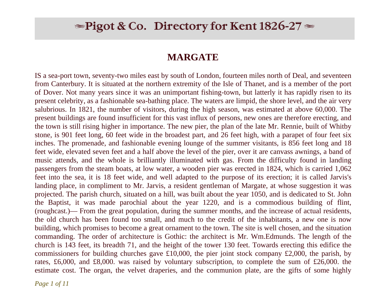# $\blacktriangleright$  Pigot & Co. Directory for Kent 1826-27  $\blacktriangleright$

## **MARGATE**

IS a sea-port town, seventy-two miles east by south of London, fourteen miles north of Deal, and seventeen from Canterbury. It is situated at the northern extremity of the Isle of Thanet, and is a member of the port of Dover. Not many years since it was an unimportant fishing-town, but latterly it has rapidly risen to its present celebrity, as a fashionable sea-bathing place. The waters are limpid, the shore level, and the air very salubrious. In 1821, the number of visitors, during the high season, was estimated at above 60,000. The present buildings are found insufficient for this vast influx of persons, new ones are therefore erecting, and the town is still rising higher in importance. The new pier, the plan of the late Mr. Rennie, built of Whitby stone, is 901 feet long, 60 feet wide in the broadest part, and 26 feet high, with a parapet of four feet six inches. The promenade, and fashionable evening lounge of the summer visitants, is 856 feet long and 18 feet wide, elevated seven feet and a half above the level of the pier, over it are canvass awnings, a band of music attends, and the whole is brilliantly illuminated with gas. From the difficulty found in landing passengers from the steam boats, at low water, a wooden pier was erected in 1824, which is carried 1,062 feet into the sea, it is 18 feet wide, and well adapted to the purpose of its erection; it is called Jarvis's landing place, in compliment to Mr. Jarvis, a resident gentleman of Margate, at whose suggestion it was projected. The parish church, situated on a hill, was built about the year 1050, and is dedicated to St. John the Baptist, it was made parochial about the year 1220, and is a commodious building of flint, (roughcast.)— From the great population, during the summer months, and the increase of actual residents, the old church has been found too small, and much to the credit of the inhabitants, a new one is now building, which promises to become a great ornament to the town. The site is well chosen, and the situation commanding. The order of architecture is Gothic: the architect is Mr. Wm.Edmunds. The length of the church is 143 feet, its breadth 71, and the height of the tower 130 feet. Towards erecting this edifice the commissioners for building churches gave £10,000, the pier joint stock company £2,000, the parish, by rates, £6,000, and £8,000. was raised by voluntary subscription, to complete the sum of £26,000. the estimate cost. The organ, the velvet draperies, and the communion plate, are the gifts of some highly

*Page 1 of 11*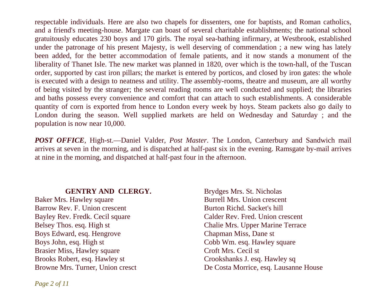respectable individuals. Here are also two chapels for dissenters, one for baptists, and Roman catholics, and a friend's meeting-house. Margate can boast of several charitable establishments; the national school gratuitously educates 230 boys and 170 girls. The royal sea-bathing infirmary, at Westbrook, established under the patronage of his present Majesty, is well deserving of commendation ; a new wing has lately been added, for the better accommodation of female patients, and it now stands a monument of the liberality of Thanet Isle. The new market was planned in 1820, over which is the town-hall, of the Tuscan order, supported by cast iron pillars; the market is entered by porticos, and closed by iron gates: the whole is executed with a design to neatness and utility. The assembly-rooms, theatre and museum, are all worthy of being visited by the stranger; the several reading rooms are well conducted and supplied; the libraries and baths possess every convenience and comfort that can attach to such establishments. A considerable quantity of corn is exported from hence to London every week by hoys. Steam packets also go daily to London during the season. Well supplied markets are held on Wednesday and Saturday ; and the population is now near 10,000.

*POST OFFICE*, High-st.—Daniel Valder, *Post Master*. The London, Canterbury and Sandwich mail arrives at seven in the morning, and is dispatched at half-past six in the evening. Ramsgate by-mail arrives at nine in the morning, and dispatched at half-past four in the afternoon.

#### **GENTRY AND CLERGY.**

Baker Mrs. Hawley square Barrow Rev. F. Union crescent Bayley Rev. Fredk. Cecil square Belsey Thos. esq. High st Boys Edward, esq. Hengrove Boys John, esq. High st Brasier Miss, Hawley square Brooks Robert, esq. Hawley st Browne Mrs. Turner, Union cresct

Brydges Mrs. St. Nicholas Burrell Mrs. Union crescent Burton Richd. Sacket's hill Calder Rev. Fred. Union crescent Chalie Mrs. Upper Marine Terrace Chapman Miss, Dane st Cobb Wm. esq. Hawley square Croft Mrs. Cecil st Crookshanks J. esq. Hawley sq De Costa Morrice, esq. Lausanne House

*Page 2 of 11*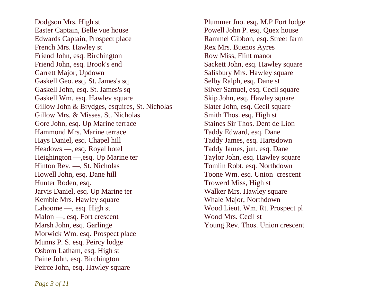Dodgson Mrs. High st Easter Captain, Belle vue house Edwards Captain, Prospect place French Mrs. Hawley st Friend John, esq. Birchington Friend John, esq. Brook's end Garrett Major, Updown Gaskell Geo. esq. St. James's sq Gaskell John, esq. St. James's sq Gaskell Wm. esq. Hawlev square Gillow John & Brydges, esquires, St. Nicholas Gillow Mrs. & Misses. St. Nicholas Gore John, esq. Up Marine terrace Hammond Mrs. Marine terrace Hays Daniel, esq. Chapel hill Headows —, esq. Royal hotel Heighington —,esq. Up Marine ter Hinton Rev. —, St. Nicholas Howell John, esq. Dane hill Hunter Roden, esq. Jarvis Daniel, esq. Up Marine ter Kemble Mrs. Hawley square Lahoome —, esq. High st Malon —, esq. Fort crescent Marsh John, esq. Garlinge Morwick Wm. esq. Prospect place Munns P. S. esq. Peircy lodge Osborn Latham, esq. High st Paine John, esq. Birchington Peirce John, esq. Hawley square

Plummer Jno. esq. M.P Fort lodge Powell John P. esq. Quex house Rammel Gibbon, esq. Street farm Rex Mrs. Buenos Ayres Row Miss, Flint manor Sackett John, esq. Hawley square Salisbury Mrs. Hawley square Selby Ralph, esq. Dane st Silver Samuel, esq. Cecil square Skip John, esq. Hawley square Slater John, esq. Cecil square Smith Thos. esq. High st Staines Sir Thos. Dent de Lion Taddy Edward, esq. Dane Taddy James, esq. Hartsdown Taddy James, jun. esq. Dane Taylor John, esq. Hawley square Tomlin Robt. esq. Northdown Toone Wm. esq. Union crescent Trowerd Miss, High st Walker Mrs. Hawley square Whale Major, Northdown Wood Lieut. Wm. Rt. Prospect pl Wood Mrs. Cecil st Young Rev. Thos. Union crescent

*Page 3 of 11*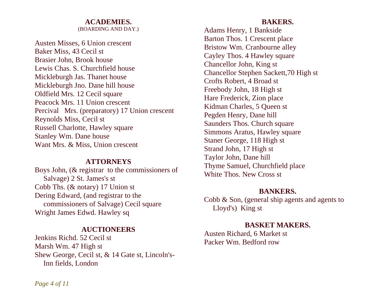## **ACADEMIES.**

(BOARDING AND DAY.)

Austen Misses, 6 Union crescent Baker Miss, 43 Cecil st Brasier John, Brook house Lewis Chas. S. Churchfield house Mickleburgh Jas. Thanet house Mickleburgh Jno. Dane hill house Oldfield Mrs. 12 Cecil square Peacock Mrs. 11 Union crescent Percival Mrs. (preparatory) 17 Union crescent Reynolds Miss, Cecil st Russell Charlotte, Hawley square Stanley Wm. Dane house Want Mrs. & Miss, Union crescent

#### **ATTORNEYS**

Boys John, (& registrar to the commissioners of Salvage) 2 St. James's st Cobb Ths. (& notary) 17 Union st Dering Edward, (and registrar to the commissioners of Salvage) Cecil square Wright James Edwd. Hawley sq

#### **AUCTIONEERS**

Jenkins Richd. 52 Cecil st Marsh Wm. 47 High st Shew George, Cecil st, & 14 Gate st, Lincoln's- Inn fields, London

#### **BAKERS.**

Adams Henry, 1 Bankside Barton Thos. 1 Crescent place Bristow Wm. Cranbourne alley Cayley Thos. 4 Hawley square Chancellor John, King st Chancellor Stephen Sackett,70 High st Crofts Robert, 4 Broad st Freebody John, 18 High st Hare Frederick, Zion place Kidman Charles, 5 Queen st Pegden Henry, Dane hill Saunders Thos. Church square Simmons Aratus, Hawley square Staner George, 118 High st Strand John, 17 High st Taylor John, Dane hill Thyme Samuel, Churchfield place White Thos. New Cross st

#### **BANKERS.**

Cobb & Son, (general ship agents and agents to Lloyd's) King st

#### **BASKET MAKERS.**

Austen Richard, 6 Market st Packer Wm. Bedford row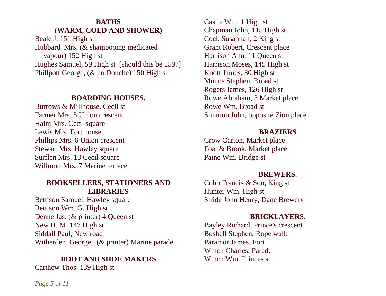## **BATHS (WARM, COLD AND SHOWER)**

Beale J. 151 High st Hubbard Mrs. (& shampooing medicated vapour) 152 High st Hughes Samuel, 59 High st [should this be 159?] Phillpott George, (& en Douche) 150 High st

#### **BOARDING HOUSES.**

Burrows & Millhouse, Cecil st Farmer Mrs. 5 Union crescent Haim Mrs. Cecil square Lewis Mrs. Fort house Phillips Mrs. 6 Union crescent Stewart Mrs. Hawley square Surflen Mrs. 13 Cecil square Willmott Mrs. 7 Marine terrace

#### **BOOKSELLERS, STATIONERS AND LIBRARIES**

Bettison Samuel, Hawley square Bettison Wm. G. High st Denne Jas. (& printer) 4 Queen st New H. M. 147 High st Siddall Paul, New road Witherden George, (& printer) Marine parade

## **BOOT AND SHOE MAKERS**

Carthew Thos. 139 High st

Castle Wm. 1 High st Chapman John, 115 High st Cock Susannah, 2 King st Grant Robert, Crescent place Harrison Ann, 11 Queen st Harrison Moses, 145 High st Knott James, 30 High st Munns Stephen, Broad st Rogers James, 126 High st Rowe Abraham, 3 Market place Rowe Wm. Broad st Simmon John, opposite Zion place

#### **BRAZIERS**

Crow Garton, Market place Foat & Brook, Market place Paine Wm. Bridge st

#### **BREWERS.**

Cobb Francis & Son, King st Hunter Wm. High st Stride John Henry, Dane Brewery

#### **BRICKLAYERS.**

Bayley Richard, Prince's crescent Bushell Stephen, Rope walk Paramor James, Fort Winch Charles, Parade Winch Wm. Princes st

*Page 5 of 11*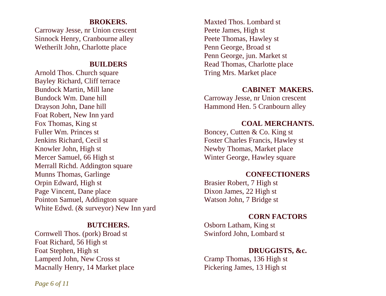#### **BROKERS.**

Carroway Jesse, nr Union crescent Sinnock Henry, Cranbourne alley Wetherilt John, Charlotte place

#### **BUILDERS**

Arnold Thos. Church square Bayley Richard, Cliff terrace Bundock Martin, Mill lane Bundock Wm. Dane hill Drayson John, Dane hill Foat Robert, New Inn yard Fox Thomas, King st Fuller Wm. Princes st Jenkins Richard, Cecil st Knowler John, High st Mercer Samuel, 66 High st Merrall Richd. Addington square Munns Thomas, Garlinge Orpin Edward, High st Page Vincent, Dane place Pointon Samuel, Addington square White Edwd. (& surveyor) New Inn yard

#### **BUTCHERS.**

Cornwell Thos. (pork) Broad st Foat Richard, 56 High st Foat Stephen, High st Lamperd John, New Cross st Macnally Henry, 14 Market place

Maxted Thos. Lombard st Peete James, High st Peete Thomas, Hawley st Penn George, Broad st Penn George, jun. Market st Read Thomas, Charlotte place Tring Mrs. Market place

#### **CABINET MAKERS.**

Carroway Jesse, nr Union crescent Hammond Hen. 5 Cranbourn alley

#### **COAL MERCHANTS.**

Boncey, Cutten & Co. King st Foster Charles Francis, Hawley st Newby Thomas, Market place Winter George, Hawley square

## **CONFECTIONERS**

Brasier Robert, 7 High st Dixon James, 22 High st Watson John, 7 Bridge st

#### **CORN FACTORS**

Osborn Latham, King st Swinford John, Lombard st

## **DRUGGISTS, &c.**

Cramp Thomas, 136 High st Pickering James, 13 High st

*Page 6 of 11*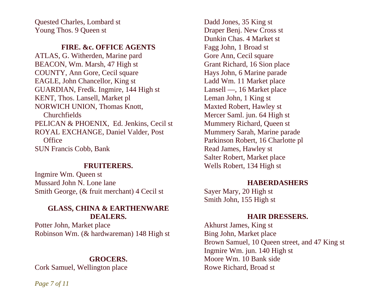Quested Charles, Lombard st Young Thos. 9 Queen st

#### **FIRE. &c. OFFICE AGENTS**

ATLAS, G. Witherden, Marine pard BEACON, Wm. Marsh, 47 High st COUNTY, Ann Gore, Cecil square EAGLE, John Chancellor, King st GUARDIAN, Fredk. Ingmire, 144 High st KENT, Thos. Lansell, Market pl NORWICH UNION, Thomas Knott, Churchfields PELICAN & PHOENIX, Ed. Jenkins, Cecil st ROYAL EXCHANGE, Daniel Valder, Post **Office** SUN Francis Cobb, Bank

#### **FRUITERERS.**

Ingmire Wm. Queen st Mussard John N. Lone lane Smith George, (& fruit merchant) 4 Cecil st

## **GLASS, CHINA & EARTHENWARE DEALERS.**

Potter John, Market place Robinson Wm. (& hardwareman) 148 High st

## **GROCERS.**

Cork Samuel, Wellington place

Dadd Jones, 35 King st Draper Benj. New Cross st Dunkin Chas. 4 Market st Fagg John, 1 Broad st Gore Ann, Cecil square Grant Richard, 16 Sion place Hays John, 6 Marine parade Ladd Wm. 11 Market place Lansell —, 16 Market place Leman John, 1 King st Maxted Robert, Hawley st Mercer Saml. jun. 64 High st Mummery Richard, Queen st Mummery Sarah, Marine parade Parkinson Robert, 16 Charlotte pl Read James, Hawley st Salter Robert, Market place Wells Robert, 134 High st

#### **HABERDASHERS**

Sayer Mary, 20 High st Smith John, 155 High st

### **HAIR DRESSERS.**

Akhurst James, King st Bing John, Market place Brown Samuel, 10 Queen street, and 47 King st Ingmire Wm. jun. 140 High st Moore Wm. 10 Bank side Rowe Richard, Broad st

*Page 7 of 11*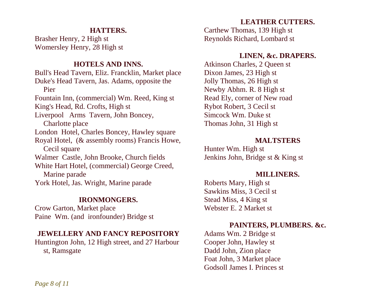#### **HATTERS.**

Brasher Henry, 2 High st Womersley Henry, 28 High st

#### **HOTELS AND INNS.**

Bull's Head Tavern, Eliz. Francklin, Market place Duke's Head Tavern, Jas. Adams, opposite the Pier Fountain Inn, (commercial) Wm. Reed, King st King's Head, Rd. Crofts, High st Liverpool Arms Tavern, John Boncey, Charlotte place London Hotel, Charles Boncey, Hawley square Royal Hotel, (& assembly rooms) Francis Howe, Cecil square Walmer Castle, John Brooke, Church fields White Hart Hotel, (commercial) George Creed, Marine parade York Hotel, Jas. Wright, Marine parade

#### **IRONMONGERS.**

Crow Garton, Market place Paine Wm. (and ironfounder) Bridge st

## **JEWELLERY AND FANCY REPOSITORY**

Huntington John, 12 High street, and 27 Harbour st, Ramsgate

## **LEATHER CUTTERS.**

Carthew Thomas, 139 High st Reynolds Richard, Lombard st

## **LINEN, &c. DRAPERS.**

Atkinson Charles, 2 Queen st Dixon James, 23 High st Jolly Thomas, 26 High st Newby Abhm. R. 8 High st Read Ely, corner of New road Rybot Robert, 3 Cecil st Simcock Wm. Duke st Thomas John, 31 High st

## **MALTSTERS**

Hunter Wm. High st Jenkins John, Bridge st & King st

#### **MILLINERS.**

Roberts Mary, High st Sawkins Miss, 3 Cecil st Stead Miss, 4 King st Webster E. 2 Market st

## **PAINTERS, PLUMBERS. &c.**

Adams Wm. 2 Bridge st Cooper John, Hawley st Dadd John, Zion place Foat John, 3 Market place Godsoll James I. Princes st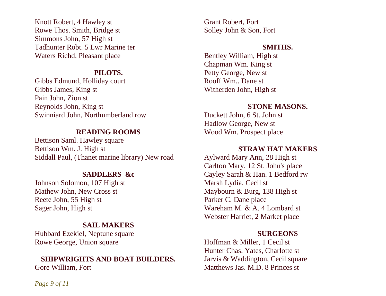Knott Robert, 4 Hawley st Rowe Thos. Smith, Bridge st Simmons John, 57 High st Tadhunter Robt. 5 Lwr Marine ter Waters Richd. Pleasant place

## **PILOTS.**

Gibbs Edmund, Holliday court Gibbs James, King st Pain John, Zion st Reynolds John, King st Swinniard John, Northumberland row

## **READING ROOMS**

Bettison Saml. Hawley square Bettison Wm. J. High st Siddall Paul, (Thanet marine library) New road

## **SADDLERS &c**

Johnson Solomon, 107 High st Mathew John, New Cross st Reete John, 55 High st Sager John, High st

## **SAIL MAKERS**

Hubbard Ezekiel, Neptune square Rowe George, Union square

#### **SHIPWRIGHTS AND BOAT BUILDERS.**

Gore William, Fort

Grant Robert, Fort Solley John & Son, Fort

## **SMITHS.**

Bentley William, High st Chapman Wm. King st Petty George, New st Rooff Wm.. Dane st Witherden John, High st

## **STONE MASONS.**

Duckett John, 6 St. John st Hadlow George, New st Wood Wm. Prospect place

## **STRAW HAT MAKERS**

Aylward Mary Ann, 28 High st Carlton Mary, 12 St. John's place Cayley Sarah & Han. 1 Bedford rw Marsh Lydia, Cecil st Maybourn & Burg, 138 High st Parker C. Dane place Wareham M. & A. 4 Lombard st Webster Harriet, 2 Market place

#### **SURGEONS**

Hoffman & Miller, 1 Cecil st Hunter Chas. Yates, Charlotte st Jarvis & Waddington, Cecil square Matthews Jas. M.D. 8 Princes st

*Page 9 of 11*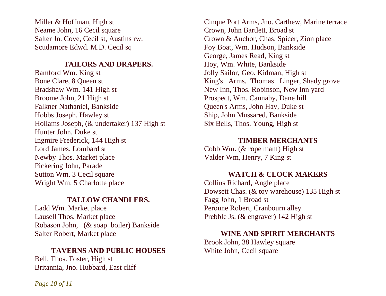Miller & Hoffman, High st Neame John, 16 Cecil square Salter Jn. Cove, Cecil st, Austins rw. Scudamore Edwd. M.D. Cecil sq

#### **TAILORS AND DRAPERS.**

Bamford Wm. King st Bone Clare, 8 Queen st Bradshaw Wm. 141 High st Broome John, 21 High st Falkner Nathaniel, Bankside Hobbs Joseph, Hawley st Hollams Joseph, (& undertaker) 137 High st Hunter John, Duke st Ingmire Frederick, 144 High st Lord James, Lombard st Newby Thos. Market place Pickering John, Parade Sutton Wm. 3 Cecil square Wright Wm. 5 Charlotte place

#### **TALLOW CHANDLERS.**

Ladd Wm. Market place Lausell Thos. Market place Robason John, (& soap boiler) Bankside Salter Robert, Market place

#### **TAVERNS AND PUBLIC HOUSES**

Bell, Thos. Foster, High st Britannia, Jno. Hubbard, East cliff

Cinque Port Arms, Jno. Carthew, Marine terrace Crown, John Bartlett, Broad st Crown & Anchor, Chas. Spicer, Zion place Foy Boat, Wm. Hudson, Bankside George, James Read, King st Hoy, Wm. White, Bankside Jolly Sailor, Geo. Kidman, High st King's Arms, Thomas Linger, Shady grove New Inn, Thos. Robinson, New Inn yard Prospect, Wm. Cannaby, Dane hill Queen's Arms, John Hay, Duke st Ship, John Mussared, Bankside Six Bells, Thos. Young, High st

## **TIMBER MERCHANTS**

Cobb Wm. (& rope manf) High st Valder Wm, Henry, 7 King st

#### **WATCH & CLOCK MAKERS**

Collins Richard, Angle place Dowsett Chas. (& toy warehouse) 135 High st Fagg John, 1 Broad st Peroune Robert, Cranbourn alley Prebble Js. (& engraver) 142 High st

## **WINE AND SPIRIT MERCHANTS**

Brook John, 38 Hawley square White John, Cecil square

*Page 10 of 11*